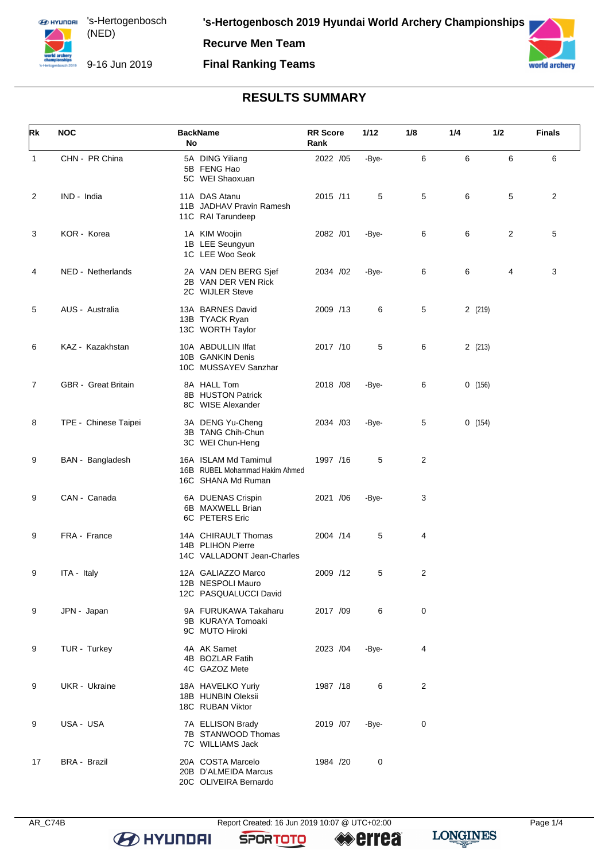#### **Final Ranking Teams**



# **RESULTS SUMMARY**

| Rk             | <b>NOC</b>                 | <b>BackName</b><br>No                                                        | <b>RR</b> Score<br>Rank | 1/12  | 1/8            | 1/4     | 1/2 | <b>Finals</b> |
|----------------|----------------------------|------------------------------------------------------------------------------|-------------------------|-------|----------------|---------|-----|---------------|
| $\mathbf{1}$   | CHN - PR China             | 5A DING Yiliang<br>5B FENG Hao<br>5C WEI Shaoxuan                            | 2022 /05                | -Bye- | 6              | 6       | 6   | 6             |
| 2              | IND - India                | 11A DAS Atanu<br>11B JADHAV Pravin Ramesh<br>11C RAI Tarundeep               | 2015 /11                | 5     | 5              | 6       | 5   | 2             |
| 3              | KOR - Korea                | 1A KIM Woojin<br>1B LEE Seungyun<br>1C LEE Woo Seok                          | 2082 /01                | -Bye- | 6              | 6       | 2   | 5             |
| 4              | NED - Netherlands          | 2A VAN DEN BERG Sjef<br>2B VAN DER VEN Rick<br>2C WIJLER Steve               | 2034 / 02               | -Bye- | 6              | 6       | 4   | 3             |
| 5              | AUS - Australia            | 13A BARNES David<br>13B TYACK Ryan<br>13C WORTH Taylor                       | 2009 /13                | 6     | 5              | 2 (219) |     |               |
| 6              | KAZ - Kazakhstan           | 10A ABDULLIN IIfat<br>10B GANKIN Denis<br>10C MUSSAYEV Sanzhar               | 2017 /10                | 5     | 6              | 2(213)  |     |               |
| $\overline{7}$ | <b>GBR</b> - Great Britain | 8A HALL Tom<br>8B HUSTON Patrick<br>8C WISE Alexander                        | 2018 / 08               | -Bye- | 6              | 0(156)  |     |               |
| 8              | TPE - Chinese Taipei       | 3A DENG Yu-Cheng<br>3B TANG Chih-Chun<br>3C WEI Chun-Heng                    | 2034 /03                | -Bye- | 5              | 0(154)  |     |               |
| 9              | BAN - Bangladesh           | 16A ISLAM Md Tamimul<br>16B RUBEL Mohammad Hakim Ahmed<br>16C SHANA Md Ruman | 1997 /16                | 5     | 2              |         |     |               |
| 9              | CAN - Canada               | 6A DUENAS Crispin<br>6B MAXWELL Brian<br>6C PETERS Eric                      | 2021 /06                | -Bye- | 3              |         |     |               |
| 9              | FRA - France               | 14A CHIRAULT Thomas<br>14B PLIHON Pierre<br>14C VALLADONT Jean-Charles       | 2004 /14                | 5     | 4              |         |     |               |
| 9              | ITA - Italy                | 12A GALIAZZO Marco<br>12B NESPOLI Mauro<br>12C PASQUALUCCI David             | 2009 /12                | 5     | 2              |         |     |               |
| 9              | JPN - Japan                | 9A FURUKAWA Takaharu<br>9B KURAYA Tomoaki<br>9C MUTO Hiroki                  | 2017 /09                | 6     | 0              |         |     |               |
| 9              | TUR - Turkey               | 4A AK Samet<br>4B BOZLAR Fatih<br>4C GAZOZ Mete                              | 2023 /04                | -Bye- | 4              |         |     |               |
| 9              | UKR - Ukraine              | 18A HAVELKO Yuriy<br>18B HUNBIN Oleksii<br>18C RUBAN Viktor                  | 1987 /18                | 6     | $\overline{c}$ |         |     |               |
| 9              | USA - USA                  | 7A ELLISON Brady<br>7B STANWOOD Thomas<br>7C WILLIAMS Jack                   | 2019 /07                | -Bye- | 0              |         |     |               |
| 17             | <b>BRA - Brazil</b>        | 20A COSTA Marcelo<br>20B D'ALMEIDA Marcus<br>20C OLIVEIRA Bernardo           | 1984 /20                | 0     |                |         |     |               |

**B** HYUNDAI

**SPORTOTO** 

**errea** 

**LONGINES**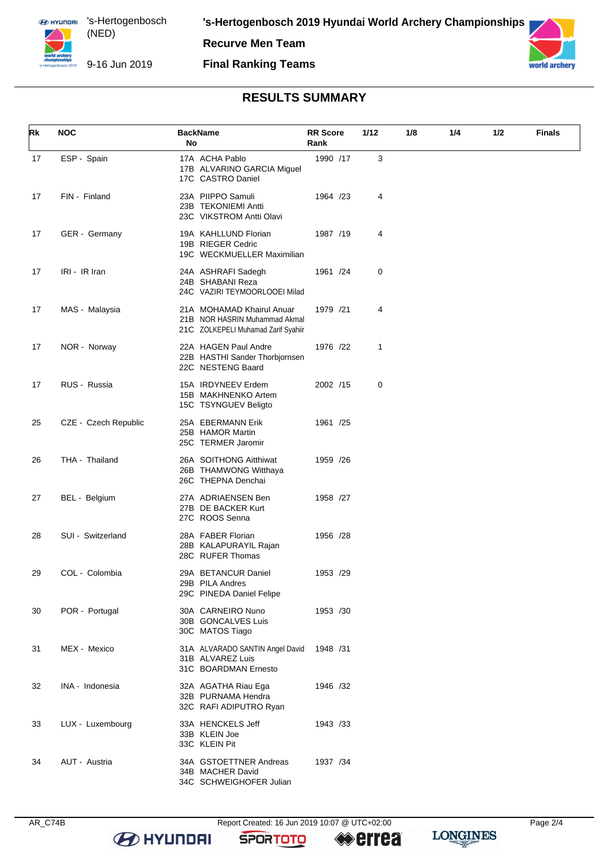#### **Final Ranking Teams**



## **RESULTS SUMMARY**

| Rk | <b>NOC</b>           | <b>BackName</b><br>No                                                                             | <b>RR</b> Score<br>Rank | 1/12 | 1/8 | 1/4 | 1/2 | Finals |
|----|----------------------|---------------------------------------------------------------------------------------------------|-------------------------|------|-----|-----|-----|--------|
| 17 | ESP - Spain          | 17A ACHA Pablo<br>17B ALVARINO GARCIA Miguel<br>17C CASTRO Daniel                                 | 1990 /17                | 3    |     |     |     |        |
| 17 | FIN - Finland        | 23A PIIPPO Samuli<br>23B TEKONIEMI Antti<br>23C VIKSTROM Antti Olavi                              | 1964 /23                | 4    |     |     |     |        |
| 17 | GER - Germany        | 19A KAHLLUND Florian<br>19B RIEGER Cedric<br>19C WECKMUELLER Maximilian                           | 1987 /19                | 4    |     |     |     |        |
| 17 | IRI - IR Iran        | 24A ASHRAFI Sadegh<br>24B SHABANI Reza<br>24C VAZIRI TEYMOORLOOEI Milad                           | 1961 /24                | 0    |     |     |     |        |
| 17 | MAS - Malaysia       | 21A MOHAMAD Khairul Anuar<br>21B NOR HASRIN Muhammad Akmal<br>21C ZOLKEPELI Muhamad Zarif Syahiir | 1979 /21                | 4    |     |     |     |        |
| 17 | NOR - Norway         | 22A HAGEN Paul Andre<br>22B HASTHI Sander Thorbjornsen<br>22C NESTENG Baard                       | 1976 /22                | 1    |     |     |     |        |
| 17 | RUS - Russia         | 15A IRDYNEEV Erdem<br>15B MAKHNENKO Artem<br>15C TSYNGUEV Beligto                                 | 2002 /15                | 0    |     |     |     |        |
| 25 | CZE - Czech Republic | 25A EBERMANN Erik<br>25B HAMOR Martin<br>25C TERMER Jaromir                                       | 1961 /25                |      |     |     |     |        |
| 26 | THA - Thailand       | 26A SOITHONG Aitthiwat<br>26B THAMWONG Witthaya<br>26C THEPNA Denchai                             | 1959 /26                |      |     |     |     |        |
| 27 | BEL - Belgium        | 27A ADRIAENSEN Ben<br>27B DE BACKER Kurt<br>27C ROOS Senna                                        | 1958 /27                |      |     |     |     |        |
| 28 | SUI - Switzerland    | 28A FABER Florian<br>28B KALAPURAYIL Rajan<br>28C RUFER Thomas                                    | 1956 /28                |      |     |     |     |        |
| 29 | COL - Colombia       | 29A BETANCUR Daniel<br>29B PILA Andres<br>29C PINEDA Daniel Felipe                                | 1953 /29                |      |     |     |     |        |
| 30 | POR - Portugal       | 30A CARNEIRO Nuno<br>30B GONCALVES Luis<br>30C MATOS Tiago                                        | 1953 /30                |      |     |     |     |        |
| 31 | MEX - Mexico         | 31A ALVARADO SANTIN Angel David<br>31B ALVAREZ Luis<br>31C BOARDMAN Ernesto                       | 1948 /31                |      |     |     |     |        |
| 32 | INA - Indonesia      | 32A AGATHA Riau Ega<br>32B PURNAMA Hendra<br>32C RAFI ADIPUTRO Ryan                               | 1946 /32                |      |     |     |     |        |
| 33 | LUX - Luxembourg     | 33A HENCKELS Jeff<br>33B KLEIN Joe<br>33C KLEIN Pit                                               | 1943 /33                |      |     |     |     |        |
| 34 | AUT - Austria        | 34A GSTOETTNER Andreas<br>34B MACHER David<br>34C SCHWEIGHOFER Julian                             | 1937 /34                |      |     |     |     |        |

**B** HYUNDAI

AR\_C74B Report Created: 16 Jun 2019 10:07 @ UTC+02:00

**SPORTOTO** 

**errea** 

**LONGINES**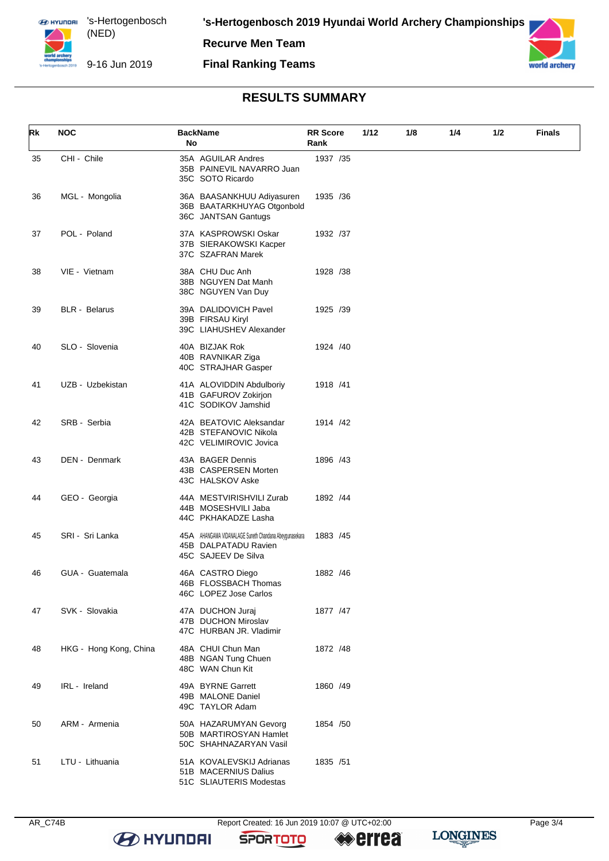

#### **Final Ranking Teams**



### **RESULTS SUMMARY**

| Rk | <b>NOC</b>             | <b>BackName</b><br>No                                                                                 | <b>RR Score</b><br>Rank | 1/12 | 1/8 | 1/4 | 1/2 | Finals |
|----|------------------------|-------------------------------------------------------------------------------------------------------|-------------------------|------|-----|-----|-----|--------|
| 35 | CHI - Chile            | 35A AGUILAR Andres<br>35B PAINEVIL NAVARRO Juan<br>35C SOTO Ricardo                                   | 1937 /35                |      |     |     |     |        |
| 36 | MGL - Mongolia         | 36A BAASANKHUU Adiyasuren<br>36B BAATARKHUYAG Otgonbold<br>36C JANTSAN Gantugs                        | 1935 / 36               |      |     |     |     |        |
| 37 | POL - Poland           | 37A KASPROWSKI Oskar<br>37B SIERAKOWSKI Kacper<br>37C SZAFRAN Marek                                   | 1932 /37                |      |     |     |     |        |
| 38 | VIE - Vietnam          | 38A CHU Duc Anh<br>38B NGUYEN Dat Manh<br>38C NGUYEN Van Duy                                          | 1928 / 38               |      |     |     |     |        |
| 39 | <b>BLR</b> - Belarus   | 39A DALIDOVICH Pavel<br>39B FIRSAU Kiryl<br>39C LIAHUSHEV Alexander                                   | 1925 /39                |      |     |     |     |        |
| 40 | SLO - Slovenia         | 40A BIZJAK Rok<br>40B RAVNIKAR Ziga<br>40C STRAJHAR Gasper                                            | 1924 /40                |      |     |     |     |        |
| 41 | UZB - Uzbekistan       | 41A ALOVIDDIN Abdulboriy<br>41B GAFUROV Zokirjon<br>41C SODIKOV Jamshid                               | 1918 /41                |      |     |     |     |        |
| 42 | SRB - Serbia           | 42A BEATOVIC Aleksandar<br>42B STEFANOVIC Nikola<br>42C VELIMIROVIC Jovica                            | 1914 /42                |      |     |     |     |        |
| 43 | DEN - Denmark          | 43A BAGER Dennis<br>43B CASPERSEN Morten<br>43C HALSKOV Aske                                          | 1896 /43                |      |     |     |     |        |
| 44 | GEO - Georgia          | 44A MESTVIRISHVILI Zurab<br>44B MOSESHVILI Jaba<br>44C PKHAKADZE Lasha                                | 1892 /44                |      |     |     |     |        |
| 45 | SRI - Sri Lanka        | 45A AHANGAMA VIDANALAGE Suneth Chandana Abeygunasekara<br>45B DALPATADU Ravien<br>45C SAJEEV De Silva | 1883 / 45               |      |     |     |     |        |
| 46 | GUA - Guatemala        | 46A CASTRO Diego<br>46B FLOSSBACH Thomas<br>46C LOPEZ Jose Carlos                                     | 1882 / 46               |      |     |     |     |        |
| 47 | SVK - Slovakia         | 47A DUCHON Juraj<br>47B DUCHON Miroslav<br>47C HURBAN JR. Vladimir                                    | 1877 / 47               |      |     |     |     |        |
| 48 | HKG - Hong Kong, China | 48A CHUI Chun Man<br>48B NGAN Tung Chuen<br>48C WAN Chun Kit                                          | 1872 / 48               |      |     |     |     |        |
| 49 | IRL - Ireland          | 49A BYRNE Garrett<br>49B MALONE Daniel<br>49C TAYLOR Adam                                             | 1860 / 49               |      |     |     |     |        |
| 50 | ARM - Armenia          | 50A HAZARUMYAN Gevorg<br>50B MARTIROSYAN Hamlet<br>50C SHAHNAZARYAN Vasil                             | 1854 /50                |      |     |     |     |        |
| 51 | LTU - Lithuania        | 51A KOVALEVSKIJ Adrianas<br>51B MACERNIUS Dalius<br>51C SLIAUTERIS Modestas                           | 1835 / 51               |      |     |     |     |        |

**B** HYUNDAI

AR\_C74B Report Created: 16 Jun 2019 10:07 @ UTC+02:00 Page 3/4

**SPORTOTO** 

**errea** 

**LONGINES**